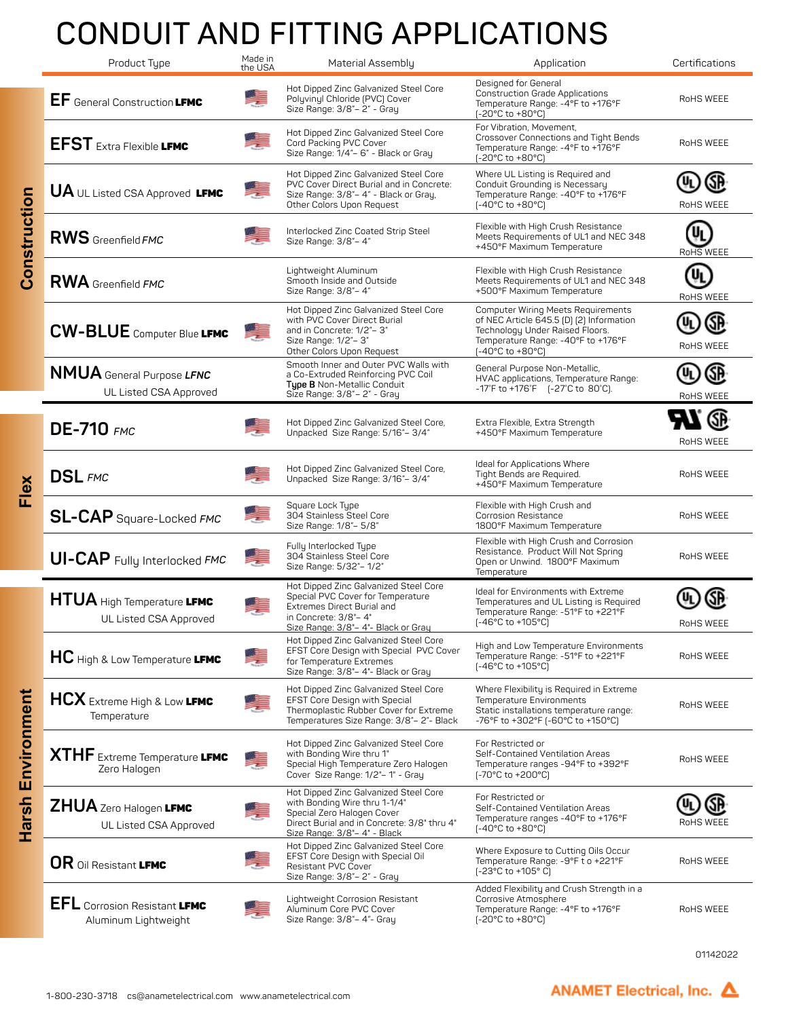## **CONDUIT AND FITTING APPLICATIONS**

|                   | Product Type                                                | Made in<br>the USA | Material Assembly                                                                                                                                                                          | Application                                                                                                                                                                        | Certifications  |
|-------------------|-------------------------------------------------------------|--------------------|--------------------------------------------------------------------------------------------------------------------------------------------------------------------------------------------|------------------------------------------------------------------------------------------------------------------------------------------------------------------------------------|-----------------|
| Construction      | EF General Construction LFMC                                | ņ                  | Hot Dipped Zinc Galvanized Steel Core<br>Polyvinyl Chloride (PVC) Cover<br>Size Range: 3/8"- 2" - Gray                                                                                     | Designed for General<br><b>Construction Grade Applications</b><br>Temperature Range: -4°F to +176°F<br>(-20°C to +80°C)                                                            | RoHS WEEE       |
|                   | <b>EFST</b> Extra Flexible LFMC                             |                    | Hot Dipped Zinc Galvanized Steel Core<br>Cord Packing PVC Cover<br>Size Range: 1/4"- 6" - Black or Gray                                                                                    | For Vibration, Movement,<br>Crossover Connections and Tight Bends<br>Temperature Range: -4°F to +176°F<br>(-20°C to +80°C)                                                         | RoHS WEEE       |
|                   | <b>UA</b> UL Listed CSA Approved LFMC                       | 墮                  | Hot Dipped Zinc Galvanized Steel Core<br>PVC Cover Direct Burial and in Concrete:<br>Size Range: 3/8"- 4" - Black or Gray,<br>Other Colors Upon Request                                    | Where UL Listing is Required and<br>Conduit Grounding is Necessary<br>Temperature Range: -40°F to +176°F<br>[-40°C to +80°C]                                                       | RoHS WEEE       |
|                   | <b>RWS</b> Greenfield FMC                                   |                    | Interlocked Zinc Coated Strip Steel<br>Size Range: 3/8"- 4"                                                                                                                                | Flexible with High Crush Resistance<br>Meets Requirements of UL1 and NEC 348<br>+450°F Maximum Temperature                                                                         | RoHS WEEE       |
|                   | <b>RWA</b> Greenfield FMC                                   |                    | Lightweight Aluminum<br>Smooth Inside and Outside<br>Size Range: 3/8"- 4"                                                                                                                  | Flexible with High Crush Resistance<br>Meets Requirements of UL1 and NEC 348<br>+500°F Maximum Temperature                                                                         | UL<br>RoHS WEEE |
|                   | <b>CW-BLUE</b> Computer Blue LFMC                           | 美                  | Hot Dipped Zinc Galvanized Steel Core<br>with PVC Cover Direct Burial<br>and in Concrete: 1/2"- 3"<br>Size Range: 1/2"- 3"<br>Other Colors Upon Request                                    | <b>Computer Wiring Meets Requirements</b><br>of NEC Article 645.5 (D) (2) Information<br>Technology Under Raised Floors.<br>Temperature Range: -40°F to +176°F<br>[-40°C to +80°C] | RoHS WEEE       |
|                   | NMUA General Purpose LFNC<br>UL Listed CSA Approved         |                    | Smooth Inner and Outer PVC Walls with<br>a Co-Extruded Reinforcing PVC Coil<br>Type B Non-Metallic Conduit<br>Size Range: 3/8" - 2" - Gray                                                 | General Purpose Non-Metallic,<br>HVAC applications, Temperature Range:<br>-17°F to +176°F [-27°C to 80°C].                                                                         | RoHS WEEE       |
| Flex              | <b>DE-710</b> FMC                                           |                    | Hot Dipped Zinc Galvanized Steel Core,<br>Unpacked Size Range: 5/16"-3/4"                                                                                                                  | Extra Flexible, Extra Strength<br>+450°F Maximum Temperature                                                                                                                       | RoHS WEEE       |
|                   | <b>DSL</b> FMC                                              |                    | Hot Dipped Zinc Galvanized Steel Core,<br>Unpacked Size Range: 3/16"-3/4"                                                                                                                  | Ideal for Applications Where<br>Tight Bends are Required.<br>+450°F Maximum Temperature                                                                                            | RoHS WEEE       |
|                   | SL-CAP Square-Locked FMC                                    |                    | Square Lock Type<br>304 Stainless Steel Core<br>Size Range: 1/8"- 5/8"                                                                                                                     | Flexible with High Crush and<br>Corrosion Resistance<br>1800°F Maximum Temperature                                                                                                 | RoHS WEEE       |
|                   | <b>UI-CAP</b> Fully Interlocked FMC                         | 學                  | Fully Interlocked Type<br>304 Stainless Steel Core<br>Size Range: 5/32"- 1/2"                                                                                                              | Flexible with High Crush and Corrosion<br>Resistance. Product Will Not Spring<br>Open or Unwind. 1800°F Maximum<br>Temperature                                                     | RoHS WEEE       |
| Harsh Environment | <b>HTUA</b> High Temperature LFMC<br>UL Listed CSA Approved |                    | Hot Dipped Zinc Galvanized Steel Core<br>Special PVC Cover for Temperature<br>Extremes Direct Burial and<br>in Concrete: 3/8"- 4"                                                          | Ideal for Environments with Extreme<br>Temperatures and UL Listing is Required<br>Temperature Range: -51°F to +221°F<br>(-46°C to +105°C)                                          | RoHS WEEE       |
|                   | HC High & Low Temperature LFMC                              | 美                  | Size Range: 3/8"– 4"- Black or Gray<br>Hot Dipped Zinc Galvanized Steel Core<br>EFST Core Design with Special PVC Cover<br>for Temperature Extremes<br>Size Range: 3/8"- 4"- Black or Gray | High and Low Temperature Environments<br>Temperature Range: -51°F to +221°F<br>(-46°C to +105°C)                                                                                   | RoHS WEEE       |
|                   | HCX Extreme High & Low LFMC<br>Temperature                  |                    | Hot Dipped Zinc Galvanized Steel Core<br><b>EFST Core Design with Special</b><br>Thermoplastic Rubber Cover for Extreme<br>Temperatures Size Range: 3/8"- 2"- Black                        | Where Flexibility is Required in Extreme<br>Temperature Environments<br>Static installations temperature range:<br>-76°F to +302°F (-60°C to +150°C)                               | RoHS WEEE       |
|                   | <b>XTHF</b> Extreme Temperature LFMC<br>Zero Halogen        | ÷                  | Hot Dipped Zinc Galvanized Steel Core<br>with Bonding Wire thru 1"<br>Special High Temperature Zero Halogen<br>Cover Size Range: 1/2"- 1" - Gray                                           | For Restricted or<br>Self-Contained Ventilation Areas<br>Temperature ranges -94°F to +392°F<br>[-70°C to +200°C]                                                                   | RoHS WEEE       |
|                   | ZHUA Zero Halogen LFMC<br>UL Listed CSA Approved            |                    | Hot Dipped Zinc Galvanized Steel Core<br>with Bonding Wire thru 1-1/4"<br>Special Zero Halogen Cover<br>Direct Burial and in Concrete: 3/8" thru 4"<br>Size Range: 3/8"-4" - Black         | For Restricted or<br>Self-Contained Ventilation Areas<br>Temperature ranges -40°F to +176°F<br>$[-40^{\circ}C \text{ to } +80^{\circ}C]$                                           | RoHS WEEE       |
|                   | OR Oil Resistant LFMC                                       |                    | Hot Dipped Zinc Galvanized Steel Core<br>EFST Core Design with Special Oil<br>Resistant PVC Cover<br>Size Range: 3/8"- 2" - Gray                                                           | Where Exposure to Cutting Oils Occur<br>Temperature Range: -9°F t o +221°F<br>[-23°C to +105°C]                                                                                    | RoHS WEEE       |
|                   | <b>EFL</b> Corrosion Resistant LFMC<br>Aluminum Lightweight |                    | Lightweight Corrosion Resistant<br>Aluminum Core PVC Cover<br>Size Range: 3/8"- 4"- Gray                                                                                                   | Added Flexibility and Crush Strength in a<br>Corrosive Atmosphere<br>Temperature Range: -4°F to +176°F<br>(-20°C to +80°C)                                                         | RoHS WEEE       |

01142022